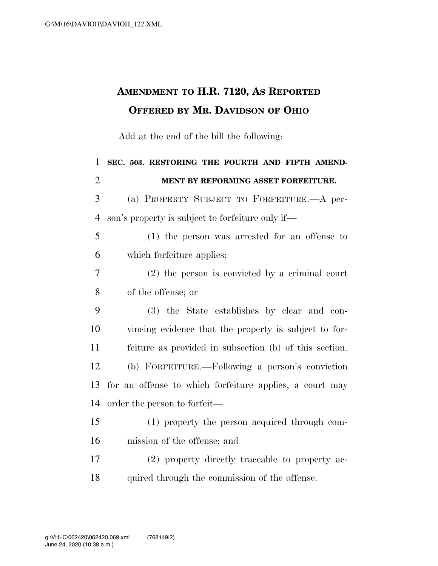## **AMENDMENT TO H.R. 7120, AS REPORTED OFFERED BY MR. DAVIDSON OF OHIO**

Add at the end of the bill the following:

 **SEC. 503. RESTORING THE FOURTH AND FIFTH AMEND- MENT BY REFORMING ASSET FORFEITURE.**  (a) PROPERTY SUBJECT TO FORFEITURE.—A per- son's property is subject to forfeiture only if— (1) the person was arrested for an offense to which forfeiture applies; (2) the person is convicted by a criminal court of the offense; or (3) the State establishes by clear and con- vincing evidence that the property is subject to for- feiture as provided in subsection (b) of this section. (b) FORFEITURE.—Following a person's conviction for an offense to which forfeiture applies, a court may order the person to forfeit— (1) property the person acquired through com- mission of the offense; and (2) property directly traceable to property ac-18 quired through the commission of the offense.